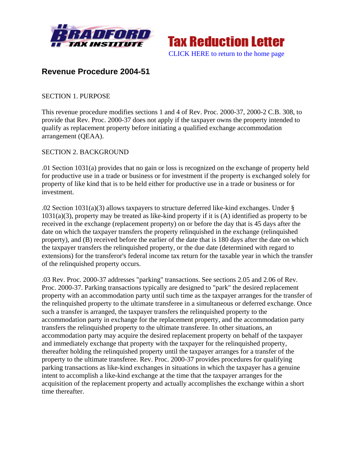



# **Revenue Procedure 2004-51**

# SECTION 1. PURPOSE

This revenue procedure modifies sections 1 and 4 of Rev. Proc. 2000-37, 2000-2 C.B. 308, to provide that Rev. Proc. 2000-37 does not apply if the taxpayer owns the property intended to qualify as replacement property before initiating a qualified exchange accommodation arrangement (QEAA).

## SECTION 2. BACKGROUND

.01 Section 1031(a) provides that no gain or loss is recognized on the exchange of property held for productive use in a trade or business or for investment if the property is exchanged solely for property of like kind that is to be held either for productive use in a trade or business or for investment.

.02 Section 1031(a)(3) allows taxpayers to structure deferred like-kind exchanges. Under § 1031(a)(3), property may be treated as like-kind property if it is (A) identified as property to be received in the exchange (replacement property) on or before the day that is 45 days after the date on which the taxpayer transfers the property relinquished in the exchange (relinquished property), and (B) received before the earlier of the date that is 180 days after the date on which the taxpayer transfers the relinquished property, or the due date (determined with regard to extensions) for the transferor's federal income tax return for the taxable year in which the transfer of the relinquished property occurs.

.03 Rev. Proc. 2000-37 addresses "parking" transactions. See sections 2.05 and 2.06 of Rev. Proc. 2000-37. Parking transactions typically are designed to "park" the desired replacement property with an accommodation party until such time as the taxpayer arranges for the transfer of the relinquished property to the ultimate transferee in a simultaneous or deferred exchange. Once such a transfer is arranged, the taxpayer transfers the relinquished property to the accommodation party in exchange for the replacement property, and the accommodation party transfers the relinquished property to the ultimate transferee. In other situations, an accommodation party may acquire the desired replacement property on behalf of the taxpayer and immediately exchange that property with the taxpayer for the relinquished property, thereafter holding the relinquished property until the taxpayer arranges for a transfer of the property to the ultimate transferee. Rev. Proc. 2000-37 provides procedures for qualifying parking transactions as like-kind exchanges in situations in which the taxpayer has a genuine intent to accomplish a like-kind exchange at the time that the taxpayer arranges for the acquisition of the replacement property and actually accomplishes the exchange within a short time thereafter.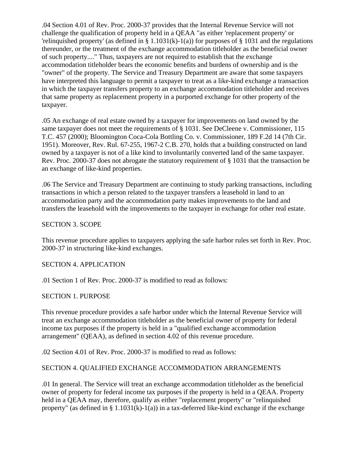.04 Section 4.01 of Rev. Proc. 2000-37 provides that the Internal Revenue Service will not challenge the qualification of property held in a QEAA "as either 'replacement property' or 'relinquished property' (as defined in § 1.1031(k)-1(a)) for purposes of § 1031 and the regulations thereunder, or the treatment of the exchange accommodation titleholder as the beneficial owner of such property...." Thus, taxpayers are not required to establish that the exchange accommodation titleholder bears the economic benefits and burdens of ownership and is the "owner" of the property. The Service and Treasury Department are aware that some taxpayers have interpreted this language to permit a taxpayer to treat as a like-kind exchange a transaction in which the taxpayer transfers property to an exchange accommodation titleholder and receives that same property as replacement property in a purported exchange for other property of the taxpayer.

.05 An exchange of real estate owned by a taxpayer for improvements on land owned by the same taxpayer does not meet the requirements of § 1031. See DeCleene v. Commissioner, 115 T.C. 457 (2000); Bloomington Coca-Cola Bottling Co. v. Commissioner, 189 F.2d 14 (7th Cir. 1951). Moreover, Rev. Rul. 67-255, 1967-2 C.B. 270, holds that a building constructed on land owned by a taxpayer is not of a like kind to involuntarily converted land of the same taxpayer. Rev. Proc. 2000-37 does not abrogate the statutory requirement of § 1031 that the transaction be an exchange of like-kind properties.

.06 The Service and Treasury Department are continuing to study parking transactions, including transactions in which a person related to the taxpayer transfers a leasehold in land to an accommodation party and the accommodation party makes improvements to the land and transfers the leasehold with the improvements to the taxpayer in exchange for other real estate.

#### SECTION 3. SCOPE

This revenue procedure applies to taxpayers applying the safe harbor rules set forth in Rev. Proc. 2000-37 in structuring like-kind exchanges.

#### SECTION 4. APPLICATION

.01 Section 1 of Rev. Proc. 2000-37 is modified to read as follows:

#### SECTION 1. PURPOSE

This revenue procedure provides a safe harbor under which the Internal Revenue Service will treat an exchange accommodation titleholder as the beneficial owner of property for federal income tax purposes if the property is held in a "qualified exchange accommodation arrangement" (QEAA), as defined in section 4.02 of this revenue procedure.

.02 Section 4.01 of Rev. Proc. 2000-37 is modified to read as follows:

# SECTION 4. QUALIFIED EXCHANGE ACCOMMODATION ARRANGEMENTS

.01 In general. The Service will treat an exchange accommodation titleholder as the beneficial owner of property for federal income tax purposes if the property is held in a QEAA. Property held in a QEAA may, therefore, qualify as either "replacement property" or "relinquished property" (as defined in § 1.1031(k)-1(a)) in a tax-deferred like-kind exchange if the exchange